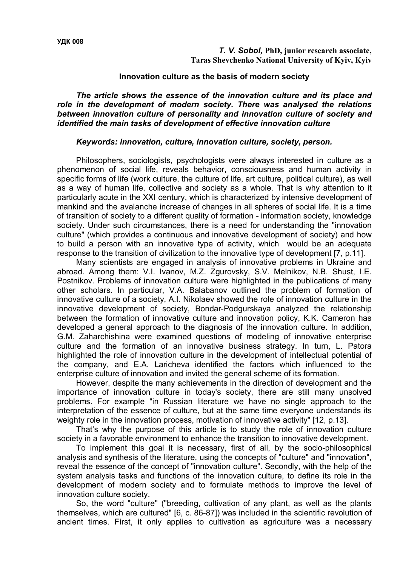## **Innovation culture as the basis of modern society**

*The article shows the essence of the innovation culture and its place and role in the development of modern society. There was analysed the relations between innovation culture of personality and innovation culture of society and identified the main tasks of development of effective innovation culture*

## *Keywords: innovation, culture, innovation culture, society, person.*

Philosophers, sociologists, psychologists were always interested in culture as a phenomenon of social life, reveals behavior, consciousness and human activity in specific forms of life (work culture, the culture of life, art culture, political culture), as well as a way of human life, collective and society as a whole. That is why attention to it particularly acute in the XXI century, which is characterized by intensive development of mankind and the avalanche increase of changes in all spheres of social life. It is a time of transition of society to a different quality of formation - information society, knowledge society. Under such circumstances, there is a need for understanding the "innovation culture" (which provides a continuous and innovative development of society) and how to build a person with an innovative type of activity, which would be an adequate response to the transition of civilization to the innovative type of development [7, p.11].

Many scientists are engaged in analysis of innovative problems in Ukraine and abroad. Among them: V.I. Ivanov, M.Z. Zgurovsky, S.V. Melnikov, N.B. Shust, I.E. Postnikov. Problems of innovation culture were highlighted in the publications of many other scholars. In particular, V.A. Balabanov outlined the problem of formation of innovative culture of a society, A.I. Nikolaev showed the role of innovation culture in the innovative development of society, Bondar-Podgurskaya analyzed the relationship between the formation of innovative culture and innovation policy, K.K. Cameron has developed a general approach to the diagnosis of the innovation culture. In addition, G.M. Zaharchishina were examined questions of modeling of innovative enterprise culture and the formation of an innovative business strategy. In turn, L. Patora highlighted the role of innovation culture in the development of intellectual potential of the company, and E.A. Laricheva identified the factors which influenced to the enterprise culture of innovation and invited the general scheme of its formation.

However, despite the many achievements in the direction of development and the importance of innovation culture in today's society, there are still many unsolved problems. For example "in Russian literature we have no single approach to the interpretation of the essence of culture, but at the same time everyone understands its weighty role in the innovation process, motivation of innovative activity" [12, p.13].

That's why the purpose of this article is to study the role of innovation culture society in a favorable environment to enhance the transition to innovative development.

To implement this goal it is necessary, first of all, by the socio-philosophical analysis and synthesis of the literature, using the concepts of "culture" and "innovation", reveal the essence of the concept of "innovation culture". Secondly, with the help of the system analysis tasks and functions of the innovation culture, to define its role in the development of modern society and to formulate methods to improve the level of innovation culture society.

So, the word "culture" ("breeding, cultivation of any plant, as well as the plants themselves, which are cultured" [6, c. 86-87]) was included in the scientific revolution of ancient times. First, it only applies to cultivation as agriculture was a necessary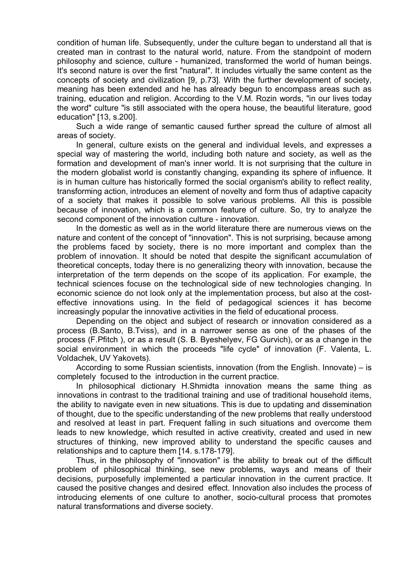condition of human life. Subsequently, under the culture began to understand all that is created man in contrast to the natural world, nature. From the standpoint of modern philosophy and science, culture - humanized, transformed the world of human beings. It's second nature is over the first "natural". It includes virtually the same content as the concepts of society and civilization [9, p.73]. With the further development of society, meaning has been extended and he has already begun to encompass areas such as training, education and religion. According to the V.M. Rozin words, "in our lives today the word" culture "is still associated with the opera house, the beautiful literature, good education" [13, s.200].

Such a wide range of semantic caused further spread the culture of almost all areas of society.

In general, culture exists on the general and individual levels, and expresses a special way of mastering the world, including both nature and society, as well as the formation and development of man's inner world. It is not surprising that the culture in the modern globalist world is constantly changing, expanding its sphere of influence. It is in human culture has historically formed the social organism's ability to reflect reality, transforming action, introduces an element of novelty and form thus of adaptive capacity of a society that makes it possible to solve various problems. All this is possible because of innovation, which is a common feature of culture. So, try to analyze the second component of the innovation culture - innovation.

In the domestic as well as in the world literature there are numerous views on the nature and content of the concept of "innovation". This is not surprising, because among the problems faced by society, there is no more important and complex than the problem of innovation. It should be noted that despite the significant accumulation of theoretical concepts, today there is no generalizing theory with innovation, because the interpretation of the term depends on the scope of its application. For example, the technical sciences focuse on the technological side of new technologies changing. In economic science do not look only at the implementation process, but also at the costeffective innovations using. In the field of pedagogical sciences it has become increasingly popular the innovative activities in the field of educational process.

Depending on the object and subject of research or innovation considered as a process (B.Santo, B.Tviss), and in a narrower sense as one of the phases of the process (F.Pfitch ), or as a result (S. B. Byeshelyev, FG Gurvich), or as a change in the social environment in which the proceeds "life cycle" of innovation (F. Valenta, L. Voldachek, UV Yakovets).

According to some Russian scientists, innovation (from the English. Innovate) – is completely focused to the introduction in the current practice.

In philosophical dictionary H.Shmidta innovation means the same thing as innovations in contrast to the traditional training and use of traditional household items, the ability to navigate even in new situations. This is due to updating and dissemination of thought, due to the specific understanding of the new problems that really understood and resolved at least in part. Frequent falling in such situations and overcome them leads to new knowledge, which resulted in active creativity, created and used in new structures of thinking, new improved ability to understand the specific causes and relationships and to capture them [14. s.178-179].

Thus, in the philosophy of "innovation" is the ability to break out of the difficult problem of philosophical thinking, see new problems, ways and means of their decisions, purposefully implemented a particular innovation in the current practice. It caused the positive changes and desired effect. Innovation also includes the process of introducing elements of one culture to another, socio-cultural process that promotes natural transformations and diverse society.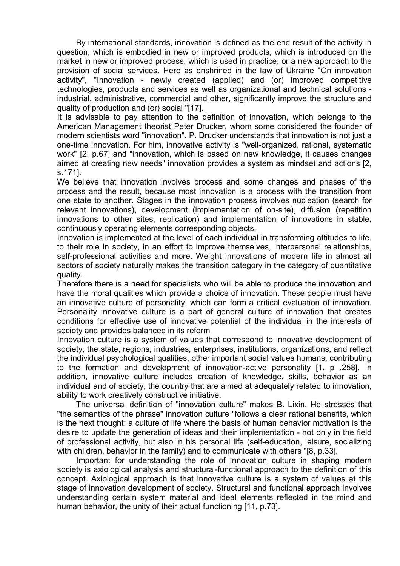By international standards, innovation is defined as the end result of the activity in question, which is embodied in new or improved products, which is introduced on the market in new or improved process, which is used in practice, or a new approach to the provision of social services. Here as enshrined in the law of Ukraine "On innovation activity", "Innovation - newly created (applied) and (or) improved competitive technologies, products and services as well as organizational and technical solutions industrial, administrative, commercial and other, significantly improve the structure and quality of production and (or) social "[17].

It is advisable to pay attention to the definition of innovation, which belongs to the American Management theorist Peter Drucker, whom some considered the founder of modern scientists word "innovation". P. Drucker understands that innovation is not just a one-time innovation. For him, innovative activity is "well-organized, rational, systematic work" [2, p.67] and "innovation, which is based on new knowledge, it causes changes aimed at creating new needs" innovation provides a system as mindset and actions [2, s.171].

We believe that innovation involves process and some changes and phases of the process and the result, because most innovation is a process with the transition from one state to another. Stages in the innovation process involves nucleation (search for relevant innovations), development (implementation of on-site), diffusion (repetition innovations to other sites, replication) and implementation of innovations in stable, continuously operating elements corresponding objects.

Innovation is implemented at the level of each individual in transforming attitudes to life, to their role in society, in an effort to improve themselves, interpersonal relationships, self-professional activities and more. Weight innovations of modern life in almost all sectors of society naturally makes the transition category in the category of quantitative quality.

Therefore there is a need for specialists who will be able to produce the innovation and have the moral qualities which provide a choice of innovation. These people must have an innovative culture of personality, which can form a critical evaluation of innovation. Personality innovative culture is a part of general culture of innovation that creates conditions for effective use of innovative potential of the individual in the interests of society and provides balanced in its reform.

Innovation culture is a system of values that correspond to innovative development of society, the state, regions, industries, enterprises, institutions, organizations, and reflect the individual psychological qualities, other important social values humans, contributing to the formation and development of innovation-active personality [1, p .258]. In addition, innovative culture includes creation of knowledge, skills, behavior as an individual and of society, the country that are aimed at adequately related to innovation, ability to work creatively constructive initiative.

The universal definition of "innovation culture" makes B. Lixin. He stresses that "the semantics of the phrase" innovation culture "follows a clear rational benefits, which is the next thought: a culture of life where the basis of human behavior motivation is the desire to update the generation of ideas and their implementation - not only in the field of professional activity, but also in his personal life (self-education, leisure, socializing with children, behavior in the family) and to communicate with others "[8, p.33].

Important for understanding the role of innovation culture in shaping modern society is axiological analysis and structural-functional approach to the definition of this concept. Axiological approach is that innovative culture is a system of values at this stage of innovation development of society. Structural and functional approach involves understanding certain system material and ideal elements reflected in the mind and human behavior, the unity of their actual functioning [11, p.73].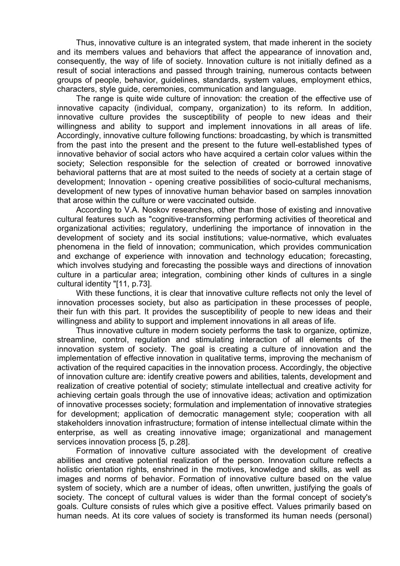Thus, innovative culture is an integrated system, that made inherent in the society and its members values and behaviors that affect the appearance of innovation and, consequently, the way of life of society. Innovation culture is not initially defined as a result of social interactions and passed through training, numerous contacts between groups of people, behavior, guidelines, standards, system values, employment ethics, characters, style guide, ceremonies, communication and language.

The range is quite wide culture of innovation: the creation of the effective use of innovative capacity (individual, company, organization) to its reform. In addition, innovative culture provides the susceptibility of people to new ideas and their willingness and ability to support and implement innovations in all areas of life. Accordingly, innovative culture following functions: broadcasting, by which is transmitted from the past into the present and the present to the future well-established types of innovative behavior of social actors who have acquired a certain color values within the society; Selection responsible for the selection of created or borrowed innovative behavioral patterns that are at most suited to the needs of society at a certain stage of development; Innovation - opening creative possibilities of socio-cultural mechanisms, development of new types of innovative human behavior based on samples innovation that arose within the culture or were vaccinated outside.

According to V.A. Noskov researches, other than those of existing and innovative cultural features such as "cognitive-transforming performing activities of theoretical and organizational activities; regulatory, underlining the importance of innovation in the development of society and its social institutions; value-normative, which evaluates phenomena in the field of innovation; communication, which provides communication and exchange of experience with innovation and technology education; forecasting, which involves studying and forecasting the possible ways and directions of innovation culture in a particular area; integration, combining other kinds of cultures in a single cultural identity "[11, p.73].

With these functions, it is clear that innovative culture reflects not only the level of innovation processes society, but also as participation in these processes of people, their fun with this part. It provides the susceptibility of people to new ideas and their willingness and ability to support and implement innovations in all areas of life.

Thus innovative culture in modern society performs the task to organize, optimize, streamline, control, regulation and stimulating interaction of all elements of the innovation system of society. The goal is creating a culture of innovation and the implementation of effective innovation in qualitative terms, improving the mechanism of activation of the required capacities in the innovation process. Accordingly, the objective of innovation culture are: identify creative powers and abilities, talents, development and realization of creative potential of society; stimulate intellectual and creative activity for achieving certain goals through the use of innovative ideas; activation and optimization of innovative processes society; formulation and implementation of innovative strategies for development; application of democratic management style; cooperation with all stakeholders innovation infrastructure; formation of intense intellectual climate within the enterprise, as well as creating innovative image; organizational and management services innovation process [5, p.28].

Formation of innovative culture associated with the development of creative abilities and creative potential realization of the person. Innovation culture reflects a holistic orientation rights, enshrined in the motives, knowledge and skills, as well as images and norms of behavior. Formation of innovative culture based on the value system of society, which are a number of ideas, often unwritten, justifying the goals of society. The concept of cultural values is wider than the formal concept of society's goals. Culture consists of rules which give a positive effect. Values primarily based on human needs. At its core values of society is transformed its human needs (personal)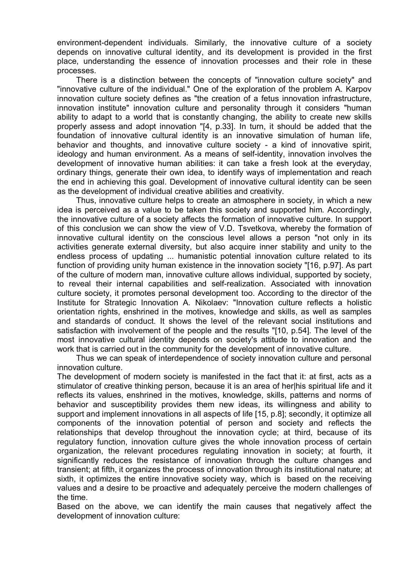environment-dependent individuals. Similarly, the innovative culture of a society depends on innovative cultural identity, and its development is provided in the first place, understanding the essence of innovation processes and their role in these processes.

There is a distinction between the concepts of "innovation culture society" and "innovative culture of the individual." One of the exploration of the problem A. Karpov innovation culture society defines as "the creation of a fetus innovation infrastructure, innovation institute" innovation culture and personality through it considers "human ability to adapt to a world that is constantly changing, the ability to create new skills properly assess and adopt innovation "[4, p.33]. In turn, it should be added that the foundation of innovative cultural identity is an innovative simulation of human life, behavior and thoughts, and innovative culture society - a kind of innovative spirit, ideology and human environment. As a means of self-identity, innovation involves the development of innovative human abilities: it can take a fresh look at the everyday, ordinary things, generate their own idea, to identify ways of implementation and reach the end in achieving this goal. Development of innovative cultural identity can be seen as the development of individual creative abilities and creativity.

Thus, innovative culture helps to create an atmosphere in society, in which a new idea is perceived as a value to be taken this society and supported him. Accordingly, the innovative culture of a society affects the formation of innovative culture. In support of this conclusion we can show the view of V.D. Tsvetkova, whereby the formation of innovative cultural identity on the conscious level allows a person "not only in its activities generate external diversity, but also acquire inner stability and unity to the endless process of updating ... humanistic potential innovation culture related to its function of providing unity human existence in the innovation society "[16, p.97]. As part of the culture of modern man, innovative culture allows individual, supported by society, to reveal their internal capabilities and self-realization. Associated with innovation culture society, it promotes personal development too. According to the director of the Institute for Strategic Innovation A. Nikolaev: "Innovation culture reflects a holistic orientation rights, enshrined in the motives, knowledge and skills, as well as samples and standards of conduct. It shows the level of the relevant social institutions and satisfaction with involvement of the people and the results "[10, p.54]. The level of the most innovative cultural identity depends on society's attitude to innovation and the work that is carried out in the community for the development of innovative culture.

Thus we can speak of interdependence of society innovation culture and personal innovation culture.

The development of modern society is manifested in the fact that it: at first, acts as a stimulator of creative thinking person, because it is an area of her|his spiritual life and it reflects its values, enshrined in the motives, knowledge, skills, patterns and norms of behavior and susceptibility provides them new ideas, its willingness and ability to support and implement innovations in all aspects of life [15, p.8]; secondly, it optimize all components of the innovation potential of person and society and reflects the relationships that develop throughout the innovation cycle; at third, because of its regulatory function, innovation culture gives the whole innovation process of certain organization, the relevant procedures regulating innovation in society; at fourth, it significantly reduces the resistance of innovation through the culture changes and transient; at fifth, it organizes the process of innovation through its institutional nature; at sixth, it optimizes the entire innovative society way, which is based on the receiving values and a desire to be proactive and adequately perceive the modern challenges of the time.

Based on the above, we can identify the main causes that negatively affect the development of innovation culture: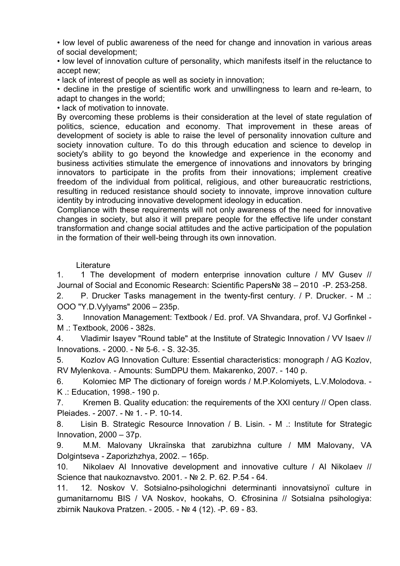• low level of public awareness of the need for change and innovation in various areas of social development;

• low level of innovation culture of personality, which manifests itself in the reluctance to accept new;

• lack of interest of people as well as society in innovation;

• decline in the prestige of scientific work and unwillingness to learn and re-learn, to adapt to changes in the world;

• lack of motivation to innovate.

By overcoming these problems is their consideration at the level of state regulation of politics, science, education and economy. That improvement in these areas of development of society is able to raise the level of personality innovation culture and society innovation culture. To do this through education and science to develop in society's ability to go beyond the knowledge and experience in the economy and business activities stimulate the emergence of innovations and innovators by bringing innovators to participate in the profits from their innovations; implement creative freedom of the individual from political, religious, and other bureaucratic restrictions, resulting in reduced resistance should society to innovate, improve innovation culture identity by introducing innovative development ideology in education.

Compliance with these requirements will not only awareness of the need for innovative changes in society, but also it will prepare people for the effective life under constant transformation and change social attitudes and the active participation of the population in the formation of their well-being through its own innovation.

## **Literature**

1. 1 The development of modern enterprise innovation culture / MV Gusev // Journal of Social and Economic Research: Scientific Papers№ 38 – 2010 -P. 253-258.

2. P. Drucker Tasks management in the twenty-first century. / P. Drucker. - M .: OOO "Y.D.Vylyams" 2006 – 235p.

3. Innovation Management: Textbook / Ed. prof. VA Shvandara, prof. VJ Gorfinkel - M .: Textbook, 2006 - 382s.

4. Vladimir Isayev "Round table" at the Institute of Strategic Innovation / VV Isaev // Innovations. - 2000. - № 5-6. - S. 32-35.

5. Kozlov AG Innovation Culture: Essential characteristics: monograph / AG Kozlov, RV Mylenkova. - Amounts: SumDPU them. Makarenko, 2007. - 140 p.

6. Kolomiec MP The dictionary of foreign words / M.P.Kolomiyets, L.V.Molodova. - K .: Education, 1998.- 190 p.

7. Kremen B. Quality education: the requirements of the XXI century // Open class. Pleiades. - 2007. - № 1. - P. 10-14.

8. Lisin B. Strategic Resource Innovation / B. Lisin. - M .: Institute for Strategic Innovation, 2000 – 37p.

9. M.M. Malovany Ukraїnska that zarubіzhna culture / MM Malovany, VA Dolgіntseva - Zaporіzhzhya, 2002. – 165p.

10. Nikolaev AI Innovative development and innovative culture / AI Nikolaev // Science that naukoznavstvo. 2001. - № 2. P. 62. P.54 - 64.

11. 12. Noskov V. Sotsіalno-psihologіchnі determіnanti іnnovatsіynoї culture in gumanіtarnomu BIS / VA Noskov, hookahs, O. Єfrosіnіna // Sotsіalna psihologіya: zbіrnik Naukova Pratzen. - 2005. - № 4 (12). -P. 69 - 83.